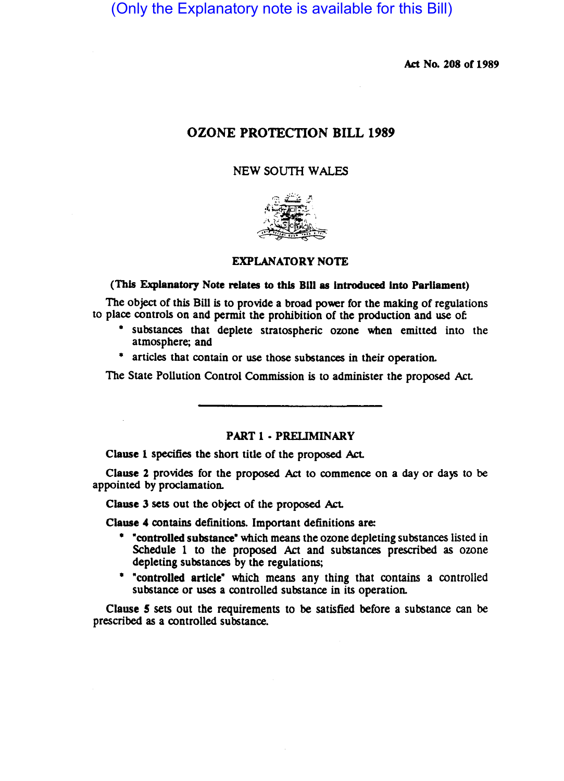(Only the Explanatory note is available for this Bill)

Act No. 208 of 1989

# OZONE PROTECTION BILL 1989

### NEW SOUTH WALES



### EXPLANATORY NOTE

#### (This Explanatory Note relates to this Bill as Introduced Into Parliament)

The object of this Bill is to provide a broad power for the making of regulations to place controls on and permit the prohibition of the production and use of

- substances that deplete stratospheric ozone when emitted into the atmosphere; and
- \* articles that contain or use those substances in their operation.

The State Pollution Control Commission is to administer the proposed Act

#### PART 1 • PRELIMINARY

Clause 1 specifies the short title of the proposed Act.

Clause 2 provides for the proposed Act to commence on a day or days to be appointed by proclamation.

Clause 3 sets out the object of the proposed Act.

Clause 4 contains definitions. Important definitions are:

- \* "controlled substance" which means the ozone depleting substances listed in Schedule 1 to the proposed Act and substances prescribed as ozone depleting substances by the regulations;
- \* "controlled article" which means any thing that contains a controlled substance or uses a controlled substance in its operation.

Clause 5 sets out the requirements to be satisfied before a substance can be prescribed as a controlled substance.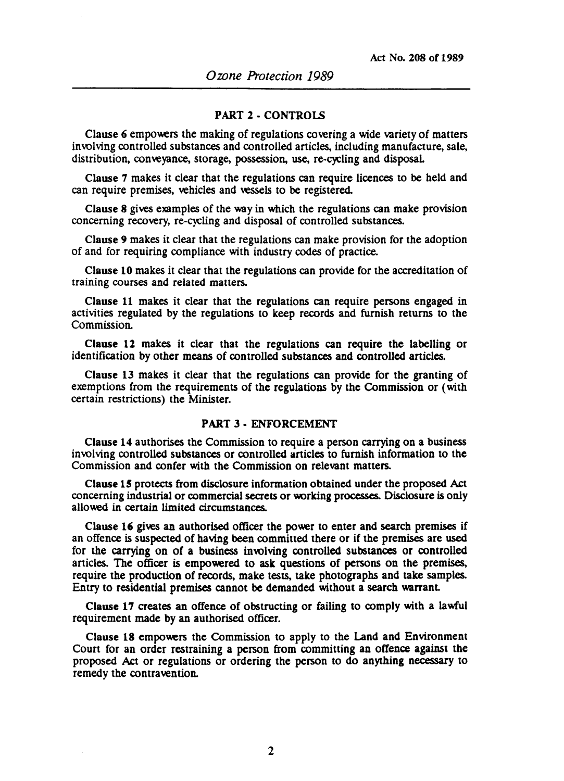### PART 2 - CONTROLS

Clause 6 empowers the making of regulations covering a wide variety of matters involving controlled substances and controlled articles, including manufacture, sale, distribution, conveyance, storage, possession, use, re-cycling and disposal.

Clause 7 makes it clear that the regulations can require licences to be held and can require premises, vehicles and vessels to be registered.

Clause 8 gives examples of the way in which the regulations can make provision concerning recovery, re-cycling and disposal of controlled substances.

Clause 9 makes it clear that the regulations can make provision for the adoption of and for requiring compliance with industry codes of practice.

Clause 10 makes it clear that the regulations can provide for the accreditation of training courses and related matters.

Clause 11 makes it clear that the regulations can require persons engaged in activities regulated by the regulations to keep records and furnish returns to the Commission.

Clause 12 makes it clear that the regulations can require the labelling or identification by other means of controlled substances and controlled articles.

Clause 13 makes it clear that the regulations can provide for the granting of exemptions from the requirements of the regulations by the Commission or (with certain restrictions) the Minister.

# PART 3 • ENFORCEMENT

Clause 14 authorises the Commission to require a person carrying on a business involving controlled substances or controlled articles to furnish information to the Commission and confer with the Commission on relevant matters.

Clause 15 protects from disclosure information obtained under the proposed Act concerning industrial or commercial secrets or working processes. Disclosure is only allowed in certain limited circumstances.

Clause 16 gives an authorised officer the power to enter and search premises if an offence is suspected of having been committed there or if the premises are used for the carrying on of a business involving controlled substances or controlled articles. The officer is empowered to ask questions of persons on the premises, require the production of records, make tests, take photographs and take samples. Entry to residential premises cannot be demanded without a search warranL

Clause 17 creates an offence of obstructing or failing to comply with a lawful requirement made by an authorised officer.

Clause 18 empowers the Commission to apply to the Land and Environment Court for an order restraining a person from committing an offence against the proposed Act or regulations or ordering the person to do anything necessary to remedy the contravention.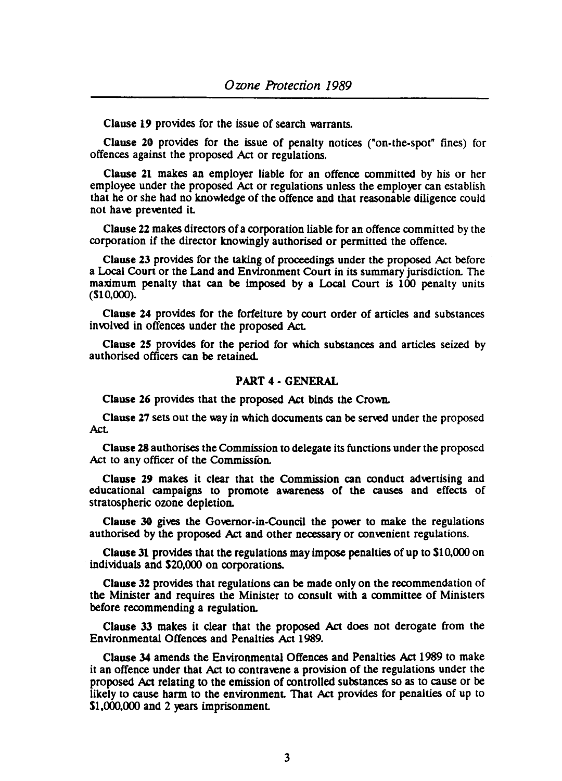Clause 19 provides for the issue of search warrants.

Clause 20 provides for the issue of penalty notices ("on-the-spot" fines) for offences against the proposed Act or regulations.

Clause 21 makes an employer liable for an offence committed by his or her employee under the proposed Act or regulations unless the employer can establish that he or she had no knowledge of the offence and that reasonable diligence could not have prevented iL

Clause 22 makes directors of a corporation liable for an offence committed by the corporation if the director knowingly authorised or permitted the offence.

Clause 23 provides for the taking of proceedings under the proposed Act before a Local Coun or the Land and Environment Coun in its summary jurisdiction. The maximum penalty that can be imposed by a Local Court is 100 penalty units (\$10,000).

Clause 24 provides for the forfeiture by court order of articles and substances involved in offences under the proposed Act.

Clause 25 provides for the period for which substances and anicles seized by authorised officers can be retained.

## PART 4 • GENERAL

Clause 26 provides that the proposed Act binds the Crown.

Clause 27 sets out the way in which documents can be served under the proposed AcL

Clause 28 authorises the Commission to delegate its functions under the proposed Act to any officer of the Commission.

Clause 29 makes it clear that the Commission can conduct advertising and educational campaigns to promote awareness of the causes and effects of stratospheric ozone depletion.

Clause 30 gives the Governor-in-Council the power to make the regulations authorised by the proposed Act and other necessary or convenient regulations.

Clause 31 provides that the regulations may impose penalties of up to \$10,000 on individuals and \$20,000 on corporations.

Clause 32 provides that regulations can be made only on the recommendation of the Minister and requires the Minister to consult with a committee of Ministers before recommending a regulation.

Clause 33 makes it clear that the proposed Act does not derogate from the Environmental Offences and Penalties Act 1989.

Clause 34 amends the Environmental Offences and Penalties Act 1989 to make it an offence under that Act to contravene a provision of the regulations under the proposed Act relating to the emission of controlled substances so as to cause or be likely to cause harm to the environment. That Act provides for penalties of up to Sl,OOO,OOO and 2 years imprisonmenL